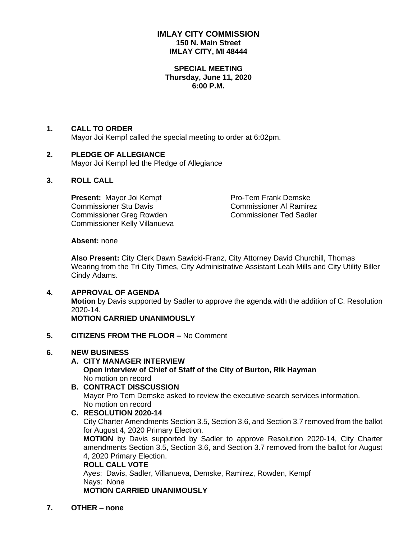## **IMLAY CITY COMMISSION 150 N. Main Street IMLAY CITY, MI 48444**

#### **SPECIAL MEETING Thursday, June 11, 2020 6:00 P.M.**

## **1. CALL TO ORDER**

Mayor Joi Kempf called the special meeting to order at 6:02pm.

## **2. PLEDGE OF ALLEGIANCE**

Mayor Joi Kempf led the Pledge of Allegiance

#### **3. ROLL CALL**

**Present:** Mayor Joi Kempf Pro-Tem Frank Demske Commissioner Stu Davis **Commissioner Al Ramirez** Commissioner Greg Rowden Commissioner Ted Sadler Commissioner Kelly Villanueva

#### **Absent:** none

**Also Present:** City Clerk Dawn Sawicki-Franz, City Attorney David Churchill, Thomas Wearing from the Tri City Times, City Administrative Assistant Leah Mills and City Utility Biller Cindy Adams.

#### **4. APPROVAL OF AGENDA**

**Motion** by Davis supported by Sadler to approve the agenda with the addition of C. Resolution 2020-14.

**MOTION CARRIED UNANIMOUSLY**

#### **5. CITIZENS FROM THE FLOOR –** No Comment

#### **6. NEW BUSINESS**

## **A. CITY MANAGER INTERVIEW**

#### **Open interview of Chief of Staff of the City of Burton, Rik Hayman** No motion on record

## **B. CONTRACT DISSCUSSION** Mayor Pro Tem Demske asked to review the executive search services information. No motion on record

## **C. RESOLUTION 2020-14**

City Charter Amendments Section 3.5, Section 3.6, and Section 3.7 removed from the ballot for August 4, 2020 Primary Election.

**MOTION** by Davis supported by Sadler to approve Resolution 2020-14, City Charter amendments Section 3.5, Section 3.6, and Section 3.7 removed from the ballot for August 4, 2020 Primary Election.

# **ROLL CALL VOTE**

Ayes: Davis, Sadler, Villanueva, Demske, Ramirez, Rowden, Kempf Nays: None

# **MOTION CARRIED UNANIMOUSLY**

**7. OTHER – none**